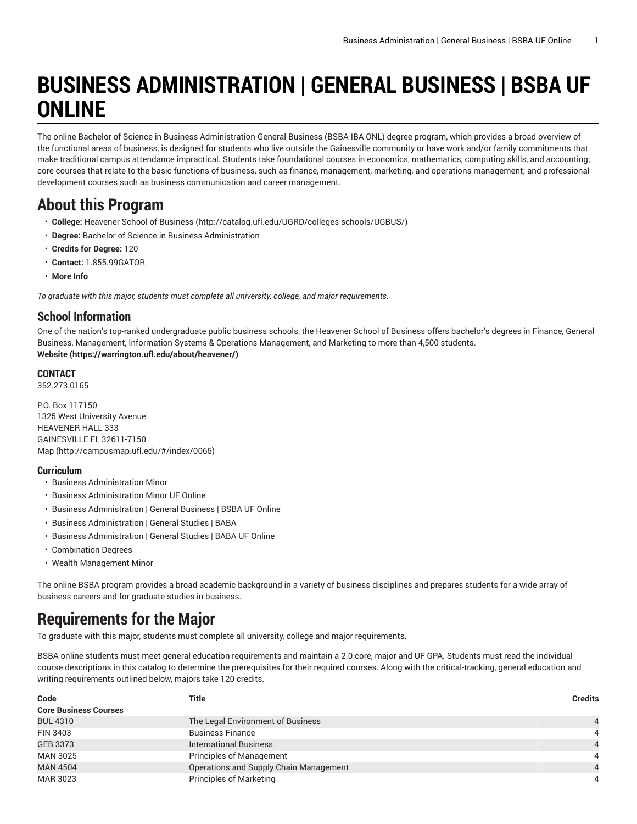# **BUSINESS ADMINISTRATION | GENERAL BUSINESS | BSBA UF ONLINE**

The online Bachelor of Science in Business Administration-General Business (BSBA-IBA ONL) degree program, which provides a broad overview of the functional areas of business, is designed for students who live outside the Gainesville community or have work and/or family commitments that make traditional campus attendance impractical. Students take foundational courses in economics, mathematics, computing skills, and accounting; core courses that relate to the basic functions of business, such as finance, management, marketing, and operations management; and professional development courses such as business communication and career management.

# **About this Program**

- **College:** [Heavener](http://catalog.ufl.edu/UGRD/colleges-schools/UGBUS/) School of Business (<http://catalog.ufl.edu/UGRD/colleges-schools/UGBUS/>)
- **Degree:** Bachelor of Science in Business Administration
- **Credits for Degree:** 120
- **Contact:** 1.855.99GATOR
- **More Info**

*To graduate with this major, students must complete all university, college, and major requirements.*

### **School Information**

One of the nation's top-ranked undergraduate public business schools, the Heavener School of Business offers bachelor's degrees in Finance, General Business, Management, Information Systems & Operations Management, and Marketing to more than 4,500 students. **[Website](https://warrington.ufl.edu/about/heavener/) (<https://warrington.ufl.edu/about/heavener/>)**

#### **CONTACT**

352.273.0165

P.O. Box 117150 1325 West University Avenue HEAVENER HALL 333 GAINESVILLE FL 32611-7150 [Map](http://campusmap.ufl.edu/#/index/0065) ([http://campusmap.ufl.edu/#/index/0065\)](http://campusmap.ufl.edu/#/index/0065)

#### **Curriculum**

- Business Administration Minor
- Business Administration Minor UF Online
- Business Administration | General Business | BSBA UF Online
- Business Administration | General Studies | BABA
- Business Administration | General Studies | BABA UF Online
- Combination Degrees
- Wealth Management Minor

The online BSBA program provides a broad academic background in a variety of business disciplines and prepares students for a wide array of business careers and for graduate studies in business.

# **Requirements for the Major**

To graduate with this major, students must complete all university, college and major requirements.

BSBA online students must meet general education requirements and maintain a 2.0 core, major and UF GPA. Students must read the individual course descriptions in this catalog to determine the prerequisites for their required courses. Along with the critical-tracking, general education and writing requirements outlined below, majors take 120 credits.

| Code                         | Title                                  | <b>Credits</b> |
|------------------------------|----------------------------------------|----------------|
| <b>Core Business Courses</b> |                                        |                |
| <b>BUL 4310</b>              | The Legal Environment of Business      |                |
| FIN 3403                     | <b>Business Finance</b>                | 4              |
| <b>GEB 3373</b>              | <b>International Business</b>          |                |
| <b>MAN 3025</b>              | <b>Principles of Management</b>        | 4              |
| <b>MAN 4504</b>              | Operations and Supply Chain Management |                |
| MAR 3023                     | <b>Principles of Marketing</b>         | 4              |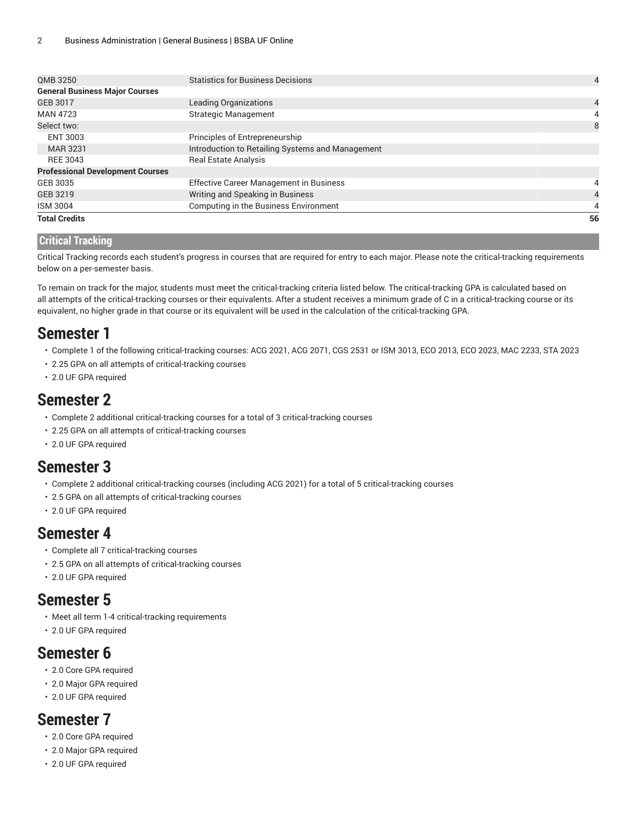| <b>ISM 3004</b>                         | Computing in the Business Environment            |                |
|-----------------------------------------|--------------------------------------------------|----------------|
| GEB 3219                                | Writing and Speaking in Business                 | 4              |
| GEB 3035                                | <b>Effective Career Management in Business</b>   |                |
| <b>Professional Development Courses</b> |                                                  |                |
| REE 3043                                | <b>Real Estate Analysis</b>                      |                |
| <b>MAR 3231</b>                         | Introduction to Retailing Systems and Management |                |
| ENT 3003                                | Principles of Entrepreneurship                   |                |
| Select two:                             |                                                  | 8              |
| <b>MAN 4723</b>                         | <b>Strategic Management</b>                      | 4              |
| GEB 3017                                | <b>Leading Organizations</b>                     | 4              |
| <b>General Business Major Courses</b>   |                                                  |                |
| QMB 3250                                | <b>Statistics for Business Decisions</b>         | $\overline{4}$ |

#### **Critical Tracking**

Critical Tracking records each student's progress in courses that are required for entry to each major. Please note the critical-tracking requirements below on a per-semester basis.

To remain on track for the major, students must meet the critical-tracking criteria listed below. The critical-tracking GPA is calculated based on all attempts of the critical-tracking courses or their equivalents. After a student receives a minimum grade of C in a critical-tracking course or its equivalent, no higher grade in that course or its equivalent will be used in the calculation of the critical-tracking GPA.

### **Semester 1**

- Complete 1 of the following critical-tracking courses: ACG 2021, ACG 2071, CGS 2531 or ISM 3013, ECO 2013, ECO 2023, MAC 2233, STA 2023
- 2.25 GPA on all attempts of critical-tracking courses
- 2.0 UF GPA required

### **Semester 2**

- Complete 2 additional critical-tracking courses for a total of 3 critical-tracking courses
- 2.25 GPA on all attempts of critical-tracking courses
- 2.0 UF GPA required

### **Semester 3**

- Complete 2 additional critical-tracking courses (including ACG 2021) for a total of 5 critical-tracking courses
- 2.5 GPA on all attempts of critical-tracking courses
- 2.0 UF GPA required

### **Semester 4**

- Complete all 7 critical-tracking courses
- 2.5 GPA on all attempts of critical-tracking courses
- 2.0 UF GPA required

### **Semester 5**

- Meet all term 1-4 critical-tracking requirements
- 2.0 UF GPA required

### **Semester 6**

- 2.0 Core GPA required
- 2.0 Major GPA required
- 2.0 UF GPA required

### **Semester 7**

- 2.0 Core GPA required
- 2.0 Major GPA required
- 2.0 UF GPA required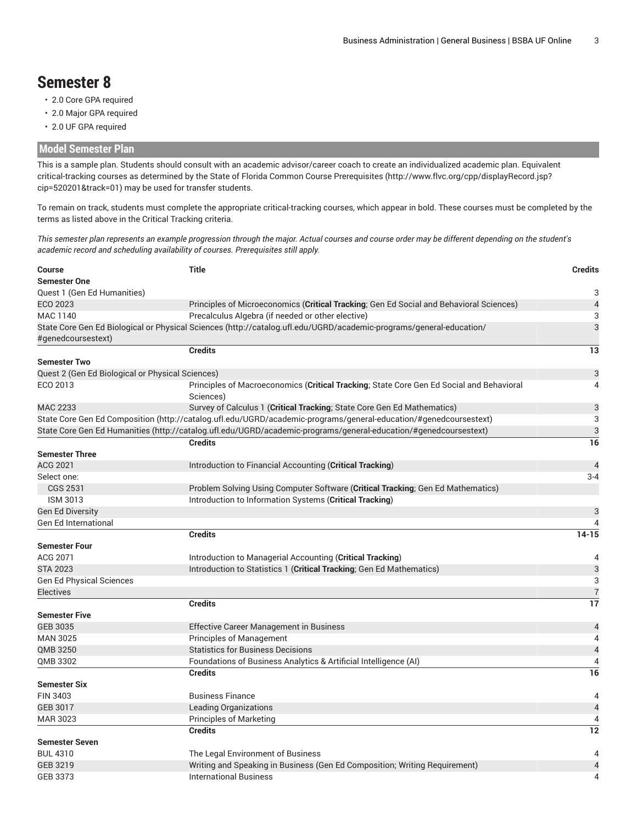# **Semester 8**

- 2.0 Core GPA required
- 2.0 Major GPA required
- 2.0 UF GPA required

### **Model Semester Plan**

This is a sample plan. Students should consult with an academic advisor/career coach to create an individualized academic plan. Equivalent critical-tracking courses as determined by the State of Florida Common Course [Prerequisites](http://www.flvc.org/cpp/displayRecord.jsp?cip=520201&track=01) [\(http://www.flvc.org/cpp/displayRecord.jsp?](http://www.flvc.org/cpp/displayRecord.jsp?cip=520201&track=01) [cip=520201&track=01\)](http://www.flvc.org/cpp/displayRecord.jsp?cip=520201&track=01) may be used for transfer students.

To remain on track, students must complete the appropriate critical-tracking courses, which appear in bold. These courses must be completed by the terms as listed above in the Critical Tracking criteria.

This semester plan represents an example progression through the major. Actual courses and course order may be different depending on the student's *academic record and scheduling availability of courses. Prerequisites still apply.*

| Course                                           | <b>Title</b>                                                                                                        | <b>Credits</b>           |
|--------------------------------------------------|---------------------------------------------------------------------------------------------------------------------|--------------------------|
| <b>Semester One</b>                              |                                                                                                                     |                          |
| Quest 1 (Gen Ed Humanities)                      |                                                                                                                     | 3                        |
| ECO 2023                                         | Principles of Microeconomics (Critical Tracking; Gen Ed Social and Behavioral Sciences)                             | $\overline{4}$           |
| MAC 1140                                         | Precalculus Algebra (if needed or other elective)                                                                   | 3                        |
|                                                  | State Core Gen Ed Biological or Physical Sciences (http://catalog.ufl.edu/UGRD/academic-programs/general-education/ | 3                        |
| #genedcoursestext)                               |                                                                                                                     |                          |
|                                                  | <b>Credits</b>                                                                                                      | 13                       |
| <b>Semester Two</b>                              |                                                                                                                     |                          |
| Quest 2 (Gen Ed Biological or Physical Sciences) |                                                                                                                     | 3                        |
| ECO 2013                                         | Principles of Macroeconomics (Critical Tracking; State Core Gen Ed Social and Behavioral<br>Sciences)               | 4                        |
| MAC 2233                                         | Survey of Calculus 1 (Critical Tracking; State Core Gen Ed Mathematics)                                             | 3                        |
|                                                  | State Core Gen Ed Composition (http://catalog.ufl.edu/UGRD/academic-programs/general-education/#genedcoursestext)   | 3                        |
|                                                  | State Core Gen Ed Humanities (http://catalog.ufl.edu/UGRD/academic-programs/general-education/#genedcoursestext)    | 3                        |
|                                                  | <b>Credits</b>                                                                                                      | 16                       |
| <b>Semester Three</b>                            |                                                                                                                     |                          |
| ACG 2021                                         | Introduction to Financial Accounting (Critical Tracking)                                                            | $\overline{4}$           |
| Select one:                                      |                                                                                                                     | $3 - 4$                  |
| <b>CGS 2531</b>                                  | Problem Solving Using Computer Software (Critical Tracking; Gen Ed Mathematics)                                     |                          |
| <b>ISM 3013</b>                                  | Introduction to Information Systems (Critical Tracking)                                                             |                          |
| <b>Gen Ed Diversity</b>                          |                                                                                                                     | 3                        |
| <b>Gen Ed International</b>                      |                                                                                                                     | 4                        |
|                                                  | <b>Credits</b>                                                                                                      | $14 - 15$                |
| <b>Semester Four</b>                             |                                                                                                                     |                          |
| ACG 2071                                         | Introduction to Managerial Accounting (Critical Tracking)                                                           | 4                        |
| <b>STA 2023</b>                                  | Introduction to Statistics 1 (Critical Tracking; Gen Ed Mathematics)                                                | 3                        |
| <b>Gen Ed Physical Sciences</b>                  |                                                                                                                     | 3                        |
| <b>Electives</b>                                 |                                                                                                                     | $\overline{7}$           |
|                                                  | <b>Credits</b>                                                                                                      | 17                       |
| <b>Semester Five</b>                             |                                                                                                                     |                          |
| <b>GEB 3035</b>                                  | Effective Career Management in Business                                                                             | $\overline{\mathcal{L}}$ |
| <b>MAN 3025</b>                                  | <b>Principles of Management</b>                                                                                     | 4                        |
| QMB 3250                                         | <b>Statistics for Business Decisions</b>                                                                            | $\overline{4}$           |
| QMB 3302                                         | Foundations of Business Analytics & Artificial Intelligence (AI)                                                    | 4                        |
|                                                  | <b>Credits</b>                                                                                                      | 16                       |
| Semester Six                                     |                                                                                                                     |                          |
| <b>FIN 3403</b>                                  | <b>Business Finance</b>                                                                                             | 4                        |
| <b>GEB 3017</b>                                  | <b>Leading Organizations</b>                                                                                        | $\overline{a}$           |
| MAR 3023                                         | <b>Principles of Marketing</b>                                                                                      | 4                        |
|                                                  | <b>Credits</b>                                                                                                      | 12                       |
| <b>Semester Seven</b>                            |                                                                                                                     |                          |
| <b>BUL 4310</b>                                  | The Legal Environment of Business                                                                                   | 4                        |
| <b>GEB 3219</b>                                  | Writing and Speaking in Business (Gen Ed Composition; Writing Requirement)                                          | $\overline{\mathcal{L}}$ |
| GEB 3373                                         | <b>International Business</b>                                                                                       | 4                        |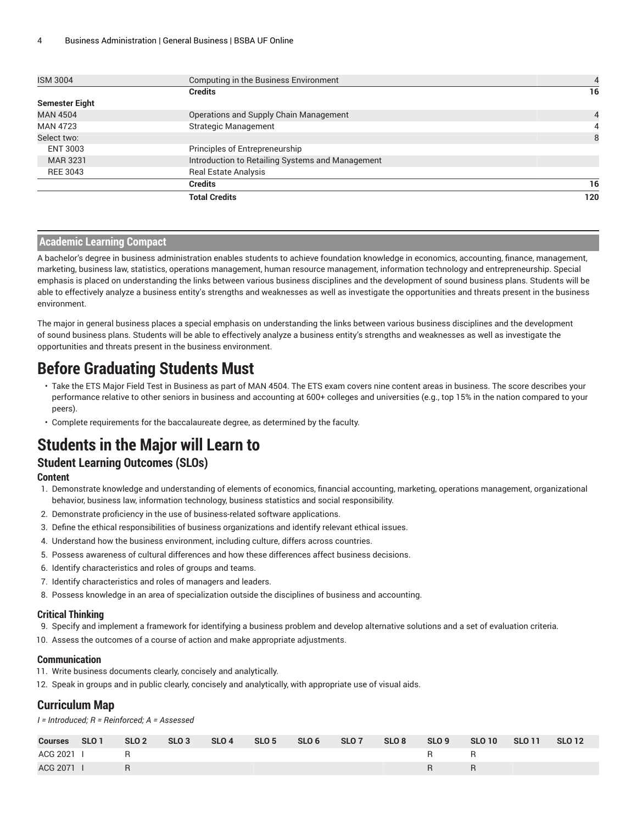| <b>ISM 3004</b>       | Computing in the Business Environment            | $\overline{4}$ |
|-----------------------|--------------------------------------------------|----------------|
|                       | <b>Credits</b>                                   | 16             |
| <b>Semester Eight</b> |                                                  |                |
| <b>MAN 4504</b>       | Operations and Supply Chain Management           | 4              |
| <b>MAN 4723</b>       | <b>Strategic Management</b>                      | 4              |
| Select two:           |                                                  | 8              |
| ENT 3003              | Principles of Entrepreneurship                   |                |
| <b>MAR 3231</b>       | Introduction to Retailing Systems and Management |                |
| <b>REE 3043</b>       | <b>Real Estate Analysis</b>                      |                |
|                       | <b>Credits</b>                                   | 16             |
|                       | <b>Total Credits</b>                             | 120            |

#### **Academic Learning Compact**

A bachelor's degree in business administration enables students to achieve foundation knowledge in economics, accounting, finance, management, marketing, business law, statistics, operations management, human resource management, information technology and entrepreneurship. Special emphasis is placed on understanding the links between various business disciplines and the development of sound business plans. Students will be able to effectively analyze a business entity's strengths and weaknesses as well as investigate the opportunities and threats present in the business environment.

The major in general business places a special emphasis on understanding the links between various business disciplines and the development of sound business plans. Students will be able to effectively analyze a business entity's strengths and weaknesses as well as investigate the opportunities and threats present in the business environment.

# **Before Graduating Students Must**

- Take the ETS Major Field Test in Business as part of MAN 4504. The ETS exam covers nine content areas in business. The score describes your performance relative to other seniors in business and accounting at 600+ colleges and universities (e.g., top 15% in the nation compared to your peers).
- Complete requirements for the baccalaureate degree, as determined by the faculty.

# **Students in the Major will Learn to**

### **Student Learning Outcomes (SLOs)**

#### **Content**

- 1. Demonstrate knowledge and understanding of elements of economics, financial accounting, marketing, operations management, organizational behavior, business law, information technology, business statistics and social responsibility.
- 2. Demonstrate proficiency in the use of business-related software applications.
- 3. Define the ethical responsibilities of business organizations and identify relevant ethical issues.
- 4. Understand how the business environment, including culture, differs across countries.
- 5. Possess awareness of cultural differences and how these differences affect business decisions.
- 6. Identify characteristics and roles of groups and teams.
- 7. Identify characteristics and roles of managers and leaders.
- 8. Possess knowledge in an area of specialization outside the disciplines of business and accounting.

#### **Critical Thinking**

- 9. Specify and implement a framework for identifying a business problem and develop alternative solutions and a set of evaluation criteria.
- 10. Assess the outcomes of a course of action and make appropriate adjustments.

#### **Communication**

- 11. Write business documents clearly, concisely and analytically.
- 12. Speak in groups and in public clearly, concisely and analytically, with appropriate use of visual aids.

#### **Curriculum Map**

*I = Introduced; R = Reinforced; A = Assessed*

| <b>Courses</b> | SLO 1 | SLO <sub>2</sub> | SLO <sub>3</sub> | SLO <sub>4</sub> | SLO 5 | SLO 6 | SLO7 | SLO 8 | SLO 9 | <b>SLO 10</b> | <b>SLO 11</b> | <b>SLO 12</b> |
|----------------|-------|------------------|------------------|------------------|-------|-------|------|-------|-------|---------------|---------------|---------------|
| ACG 2021 I     |       | R.               |                  |                  |       |       |      |       |       | R.            |               |               |
| ACG 2071       |       |                  |                  |                  |       |       |      |       | R     | R             |               |               |